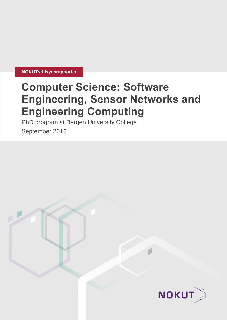**NOKUTs tilsynsrapporter**

# **Computer Science: Software Engineering, Sensor Networks and Engineering Computing**

PhD program at Bergen University College

September 2016

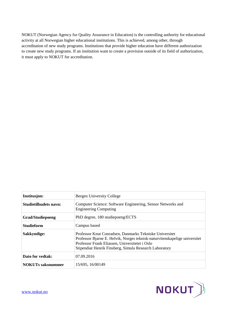NOKUT (Norwegian Agency for Quality Assurance in Education) is the controlling authority for educational activity at all Norwegian higher educational institutions. This is achieved, among other, through accreditation of new study programs. Institutions that provide higher education have different authorization to create new study programs. If an institution want to create a provision outside of its field of authorization, it must apply to NOKUT for accreditation.

| Institusjon:                 | Bergen University College                                                                                                                                                                                                                         |  |  |  |  |  |
|------------------------------|---------------------------------------------------------------------------------------------------------------------------------------------------------------------------------------------------------------------------------------------------|--|--|--|--|--|
| <b>Studietilbudets navn:</b> | Computer Science: Software Engineering, Sensor Networks and<br><b>Engineering Computing</b>                                                                                                                                                       |  |  |  |  |  |
| <b>Grad/Studiepoeng</b>      | PhD degree, 180 studiepoeng/ECTS                                                                                                                                                                                                                  |  |  |  |  |  |
| <b>Studieform</b>            | Campus based                                                                                                                                                                                                                                      |  |  |  |  |  |
| Sakkyndige:                  | Professor Knut Conradsen, Danmarks Tekniske Universitet<br>Professor Bjarne E. Helvik, Norges teknisk-naturvitenskapelige universitet<br>Professor Frank Eliassen, Universitetet i Oslo<br>Stipendiat Henrik Finsberg, Simula Research Laboratory |  |  |  |  |  |
| Dato for vedtak:             | 07.09.2016                                                                                                                                                                                                                                        |  |  |  |  |  |
| <b>NOKUTs saksnummer</b>     | 15/695, 16/00149                                                                                                                                                                                                                                  |  |  |  |  |  |

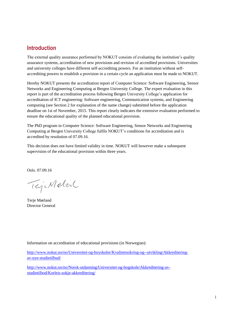## **Introduction**

The external quality assurance performed by NOKUT consists of evaluating the institution's quality assurance systems, accreditation of new provisions and revision of accredited provisions. Universities and university colleges have different self-accrediting powers. For an institution without selfaccrediting powers to establish a provision in a certain cycle an application must be made to NOKUT.

Hereby NOKUT presents the accreditation report of Computer Science: Software Engineering, Sensor Networks and Engineering Computing at Bergen University College. The expert evaluation in this report is part of the accreditation process following Bergen University College's application for accreditation of ICT engineering: Software engineering, Communication systems, and Engineering computing (see Section 2 for explanation of the name change) submitted before the application deadline on 1st of November, 2015. This report clearly indicates the extensive evaluation performed to ensure the educational quality of the planned educational provision.

The PhD program in Computer Science: Software Engineering, Sensor Networks and Engineering Computing at Bergen University College fulfils NOKUT's conditions for accreditation and is accredited by resolution of 07.09.16.

This decision does not have limited validity in time. NOKUT will however make a subsequent supervision of the educational provision within three years.

Oslo. 07.09.16

TejiMatent

Terje Mørland Director General

Information on accreditation of educational provisions (in Norwegian):

[http://www.nokut.no/no/Universitet-og-hoyskoler/Kvalitetssikring-og--utvikling/Akkreditering](http://www.nokut.no/no/Universitet-og-hoyskoler/Kvalitetssikring-og--utvikling/Akkreditering-av-nye-studietilbud/)[av-nye-studietilbud/](http://www.nokut.no/no/Universitet-og-hoyskoler/Kvalitetssikring-og--utvikling/Akkreditering-av-nye-studietilbud/)

[http://www.nokut.no/no/Norsk-utdanning/Universitet-og-hogskole/Akkreditering-av](http://www.nokut.no/no/Norsk-utdanning/Universitet-og-hogskole/Akkreditering-av-studietilbod/Korleis-sokje-akkreditering/)[studietilbod/Korleis-sokje-akkreditering/](http://www.nokut.no/no/Norsk-utdanning/Universitet-og-hogskole/Akkreditering-av-studietilbod/Korleis-sokje-akkreditering/)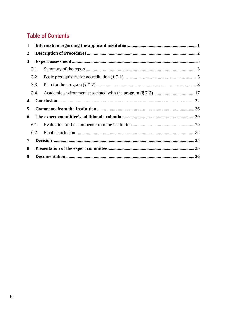## **Table of Contents**

| 1                |     |  |  |  |  |  |  |
|------------------|-----|--|--|--|--|--|--|
| $\boldsymbol{2}$ |     |  |  |  |  |  |  |
| 3                |     |  |  |  |  |  |  |
|                  | 3.1 |  |  |  |  |  |  |
|                  | 3.2 |  |  |  |  |  |  |
|                  | 3.3 |  |  |  |  |  |  |
|                  | 3.4 |  |  |  |  |  |  |
| 4                |     |  |  |  |  |  |  |
| 5                |     |  |  |  |  |  |  |
| 6                |     |  |  |  |  |  |  |
|                  | 6.1 |  |  |  |  |  |  |
|                  | 6.2 |  |  |  |  |  |  |
| 7                |     |  |  |  |  |  |  |
| 8                |     |  |  |  |  |  |  |
| 9                |     |  |  |  |  |  |  |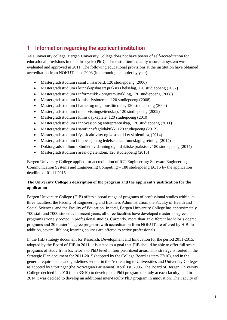## <span id="page-4-0"></span>**1 Information regarding the applicant institution**

As a university college, Bergen University College does not have power of self-accreditation for educational provisions in the third cycle (PhD). The institution's quality assurance system was evaluated and approved in 2011. The following educational provisions at the institution have obtained accreditation from NOKUT since 2003 (in chronological order by year):

- Mastergradsstudium i samfunnsarbeid, 120 studiepoeng (2006)
- Mastergradsstudium i kunnskapsbasert praksis i helsefag, 120 studiepoeng (2007)
- Mastergradsstudium i informatikk programutvikling, 120 studiepoeng (2008)
- Mastergradsstudium i klinisk fysioterapi, 120 studiepoeng (2008)
- Mastergradsstudium i barne- og ungdomslitteratur, 120 studiepoeng (2009)
- Mastergradsstudium i undervisningsvitenskap, 120 studiepoeng (2009)
- Mastergradsstudium i klinisk sykepleie, 120 studiepoeng (2010)
- Mastergradsstudium i innovasjon og entreprenørskap, 120 studiepoeng (2011)
- Mastergradsstudium i samfunnsfagdidaktikk, 120 studiepoeng (2012)
- Mastergradsstudium i fysisk aktivitet og kosthold i et skolemiljø, (2014)
- Mastergradsstudium i innovasjon og ledelse samfunnsfaglig retning, (2014)
- Doktorgradsstudium i Studier av danning og didaktiske praksiser, 180 studiepoeng (2014)
- Mastergradsstudium i areal og eiendom, 120 studiepoeng (2015)

Bergen University College applied for accreditation of ICT Engineering: Software Engineering, Communication Systems and Engineering Computing – 180 studiepoeng/ECTS by the application deadline of 01.11.2015.

## **The University College's description of the program and the applicant's justification for the application**

Bergen University College (HiB) offers a broad range of programs of professional studies within its three faculties: the Faculty of Engineering and Business Administration, the Faculty of Health and Social Sciences, and the Faculty of Education. In total, Bergen University College has approximately 700 staff and 7000 students. In recent years, all three faculties have developed master's degree programs strongly rooted in professional studies. Currently, more than 35 different bachelor's degree programs and 20 master's degree programs with accreditation from NOKUT are offered by HiB. In addition, several lifelong learning courses are offered to active professionals.

In the HiB strategy document for Research, Development and Innovation for the period 2011-2015, adopted by the Board of HiB in 2011, it is stated as a goal that HiB should be able to offer full scale programs of study from bachelor's to PhD level in four prioritized areas. This strategy is rooted in the Strategic Plan document for 2011-2015 (adopted by the College Board as item 77/10), and in the generic requirements and guidelines set out in the Act relating to Universities and University Colleges as adopted by Stortinget (the Norwegian Parliament) April 1st, 2005. The Board of Bergen University College decided in 2010 (item 33/10) to develop one PhD program of study at each faculty, and in 2014 it was decided to develop an additional inter-faculty PhD program in innovation. The Faculty of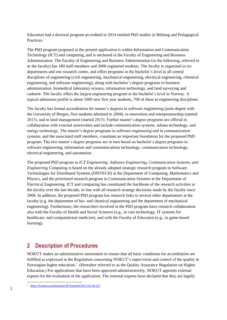Education had a doctoral program accredited in 2014 entitled PhD studies in Bildung and Pedagogical Practices.

The PhD program proposed in the present application is within Information and Communication Technology (ICT) and computing, and is anchored in the Faculty of Engineering and Business Administration. The Faculty of Engineering and Business Administration (in the following, referred to as the faculty) has 180 staff members and 3000 registered students. The faculty is organized in six departments and one research centre, and offers programs at the bachelor's level in all central disciplines of engineering (civil engineering, mechanical engineering, electrical engineering, chemical engineering, and software engineering), along with bachelor's degree programs in business administration, biomedical laboratory science, information technology, and land surveying and cadastre. The faculty offers the largest engineering program at the bachelor's level in Norway. A typical admission profile is about 1000 new first year students, 700 of these in engineering disciplines.

The faculty has formal accreditation for master's degrees in software engineering (joint degree with the University of Bergen, first students admitted in 2004), in innovation and entrepreneurship (started 2013), and in land management (started 2015). Further master's degree programs are offered in collaboration with external universities and include communication systems, subsea technology, and energy technology. The master's degree programs in software engineering and in communication systems, and the associated staff members, constitute an important foundation for the proposed PhD program. The two master's degree programs are in turn based on bachelor's degree programs in software engineering, information and communications technology, communication technology, electrical engineering, and automation.

The proposed PhD program in *ICT Engineering: Software Engineering, Communication Systems, and Engineering Computing* is based on the already adopted strategic research program in Software Technologies for Distributed Systems (DISTECH) at the Department of Computing, Mathematics and Physics, and the prioritized research program in Communication Systems at the Department of Electrical Engineering. ICT and computing has constituted the backbone of the research activities at the faculty over the last decade, in line with all research strategy decisions made by the faculty since 2000. In addition, the proposed PhD program has research links to several other departments at the faculty (e.g. the department of bio- and chemical engineering and the department of mechanical engineering). Furthermore, the researchers involved in the PhD program have research collaboration also with the Faculty of Health and Social Sciences (e.g., in care technology, IT systems for healthcare, and computational medicine), and with the Faculty of Education (e.g., in game-based learning).

## <span id="page-5-0"></span>**2 Description of Procedures**

NOKUT makes an administrative assessment to ensure that all basic conditions for accreditation are fulfilled as expressed in the Regulation concerning NOKUT's supervision and control of the quality in Norwegian higher education.<sup>1</sup> (Hereafter referred to as the Quality Assurance Regulation on Higher Education.) For applications that have been approved administratively, NOKUT appoints external experts for the evaluation of the application. The external experts have declared that they are legally

l 1 <https://lovdata.no/dokument/SF/forskrift/2013-02-28-237>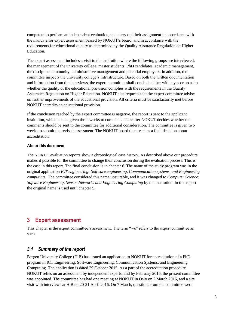competent to perform an independent evaluation, and carry out their assignment in accordance with the mandate for expert assessment passed by NOKUT's board, and in accordance with the requirements for educational quality as determined by the Quality Assurance Regulation on Higher Education.

The expert assessment includes a visit to the institution where the following groups are interviewed: the management of the university college, master students, PhD candidates, academic management, the discipline community, administrative management and potential employers. In addition, the committee inspects the university college's infrastructure. Based on both the written documentation and information from the interviews, the expert committee shall conclude either with a yes or no as to whether the quality of the educational provision complies with the requirements in the Quality Assurance Regulation on Higher Education. NOKUT also requests that the expert committee advise on further improvements of the educational provision. All criteria must be satisfactorily met before NOKUT accredits an educational provision.

If the conclusion reached by the expert committee is negative, the report is sent to the applicant institution, which is then given three weeks to comment. Thereafter NOKUT decides whether the comments should be sent to the committee for additional consideration. The committee is given two weeks to submit the revised assessment. The NOKUT board then reaches a final decision about accreditation.

#### **About this document**

The NOKUT evaluation reports show a chronological case history. As described above our procedure makes it possible for the committee to change their conclusion during the evaluation process. This is the case in this report. The final conclusion is in chapter 6. The name of the study program was in the original application *ICT engineering: Software engineering, Communication systems, and Engineering computing.* The committee considered this name unsuitable, and it was changed to *Computer Science: Software Engineering, Sensor Networks and Engineering Computing* by the institution*.* In this report the original name is used until chapter 5.

## <span id="page-6-0"></span>**3 Expert assessment**

This chapter is the expert committee's assessment. The term "we" refers to the expert committee as such.

## <span id="page-6-1"></span>*3.1 Summary of the report*

Bergen University College (HiB) has issued an application to NOKUT for accreditation of a PhD program in ICT Engineering: Software Engineering, Communication Systems, and Engineering Computing. The application is dated 29 October 2015. As a part of the accreditation procedure NOKUT relies on an assessment by independent experts, and by February 2016, the present committee was appointed. The committee has had one meeting at NOKUT in Oslo on 2 March 2016, and a site visit with interviews at HiB on 20-21 April 2016. On 7 March, questions from the committee were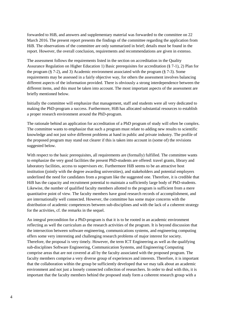forwarded to HiB, and answers and supplementary material was forwarded to the committee on 22 March 2016. The present report presents the findings of the committee regarding the application from HiB. The observations of the committee are only summarized in brief; details must be found in the report. However, the overall conclusion, requirements and recommendations are given in extenso.

The assessment follows the requirements listed in the section on accreditation in the Quality Assurance Regulation on Higher Education 1) Basic prerequisites for accreditation (§ 7-1), 2) Plan for the program  $(\S 7-2)$ , and 3) Academic environment associated with the program  $(\S 7-3)$ . Some requirements may be assessed in a fairly objective way, for others the assessment involves balancing different aspects of the information provided. There is obviously a strong interdependence between the different items, and this must be taken into account. The most important aspects of the assessment are briefly mentioned below.

Initially the committee will emphasize that management, staff and students were all very dedicated to making the PhD-program a success. Furthermore, HiB has allocated substantial resources to establish a proper research environment around the PhD-program.

The rationale behind an application for accreditation of a PhD program of study will often be complex. The committee wants to emphasize that such a program must relate to adding new results to scientific knowledge and not just solve different problems at hand in public and private industry. The profile of the proposed program may stand out clearer if this is taken into account in (some of) the revisions suggested below.

With respect to the basic prerequisites, all requirements are (formally) fulfilled. The committee wants to emphasize the very good facilities the present PhD-students are offered: travel grants, library and laboratory facilities, access to supervisors etc. Furthermore HiB seems to be an attractive host institution (jointly with the degree awarding universities), and stakeholders and potential employers underlined the need for candidates from a program like the suggested one. Therefore, it is credible that HiB has the capacity and recruitment potential to maintain a sufficiently large body of PhD-students. Likewise, the number of qualified faculty members allotted to the program is sufficient from a mere quantitative point of view. The faculty members have good research records of accomplishment, and are internationally well connected. However, the committee has some major concerns with the distribution of academic competences between sub-disciplines and with the lack of a coherent strategy for the activities, cf. the remarks in the sequel.

An integral precondition for a PhD-program is that it is to be rooted in an academic environment reflecting as well the curriculum as the research activities of the program. It is beyond discussion that the intersection between software engineering, communications systems, and engineering computing offers some very interesting and challenging research problems of major interest for society. Therefore, the proposal is very timely. However, the term ICT Engineering as well as the qualifying sub-disciplines Software Engineering, Communication Systems, and Engineering Computing comprise areas that are not covered at all by the faculty associated with the proposed program. The faculty members comprise a very diverse group of experiences and interests. Therefore, it is important that the collaboration within the group be sufficiently developed that we may talk about an academic environment and not just a loosely connected collection of researchers. In order to deal with this, it is important that the faculty members behind the proposed study form a coherent research group with a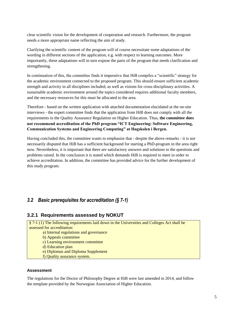clear scientific vision for the development of cooperation and research. Furthermore, the program needs a more appropriate name reflecting the aim of study.

Clarifying the scientific content of the program will of course necessitate some adaptations of the wording in different sections of the application, e.g. with respect to learning outcomes. More importantly, these adaptations will in turn expose the parts of the program that needs clarification and strengthening.

In continuation of this, the committee finds it imperative that HiB compiles a "scientific" strategy for the academic environment connected to the proposed program. This should ensure sufficient academic strength and activity in all disciplines included, as well as visions for cross-disciplinary activities. A sustainable academic environment around the topics considered requires additional faculty members, and the necessary resources for this must be allocated to the area.

Therefore - based on the written application with attached documentation elucidated at the on-site interviews - the expert committee finds that the application from HiB does not comply with all the requirements in the Quality Assurance Regulation on Higher Education. Thus, **the committee does not recommend accreditation of the PhD program "ICT Engineering: Software Engineering, Communication Systems and Engineering Computing" at Høgskolen i Bergen.**

Having concluded this, the committee wants to emphasize that - despite the above remarks - it is not necessarily disputed that HiB has a sufficient background for starting a PhD-program in the area right now. Nevertheless, it is important that there are satisfactory answers and solutions to the questions and problems raised. In the conclusion it is stated which demands HiB is required to meet in order to achieve accreditation. In addition, the committee has provided advice for the further development of this study program.

## <span id="page-8-0"></span>*3.2 Basic prerequisites for accreditation (§ 7-1)*

## **3.2.1 Requirements assessed by NOKUT**

§ 7-1 (1) The following requirements laid down in the Universities and Colleges Act shall be assessed for accreditation:

- a) Internal regulations and governance
- b) Appeals committee
- c) Learning environment committee
- d) Education plan
- e) Diplomas and Diploma Supplement
- f) Quality assurance system.

## **Assessment**

The regulations for the Doctor of Philosophy Degree at HiB were last amended in 2014, and follow the template provided by the Norwegian Association of Higher Education.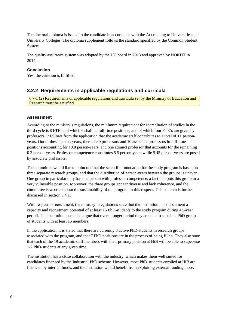The doctoral diploma is issued to the candidate in accordance with the Act relating to Universities and University Colleges. The diploma supplement follows the standard specified by the Common Student System.

The quality assurance system was adopted by the UC board in 2013 and approved by NOKUT in 2014.

## **Conclusion**

Yes, the criterion is fulfilled.

## **3.2.2 Requirements in applicable regulations and curricula**

§ 7-1 (2) Requirements of applicable regulations and curricula set by the Ministry of Education and Research must be satisfied.

## **Assessment**

According to the ministry's regulations, the minimum requirement for accreditation of studies in the third cycle is 8 FTE's, of which 6 shall be full-time positions, and of which four FTE's are given by professors. It follows from the application that the academic staff contributes to a total of 11 personyears. Out of these person-years, there are 9 professors and 10 associate professors in full-time positions accounting for 10.8 person-years, and one adjunct professor that accounts for the remaining 0.2 person-years. Professor competence constitutes 5.5 person-years while 5.45 person-years are posed by associate professors.

The committee would like to point out that the scientific foundation for the study program is based on three separate research groups, and that the distribution of person-years between the groups is uneven. One group in particular only has one person with professor competence, a fact that puts this group in a very vulnerable position. Moreover, the three groups appear diverse and lack coherence, and the committee is worried about the sustainability of the program in this respect. This concern is further discussed in section 3.4.1.

With respect to recruitment, the ministry's regulations state that the institution must document a capacity and recruitment potential of at least 15 PhD-students to the study program during a 5-year period. The institution must also argue that over a longer period they are able to sustain a PhD group of students with at least 15 members.

In the application, it is stated that there are currently 8 active PhD-students in research groups associated with the program, and that 7 PhD positions are in the process of being filled. They also state that each of the 19 academic staff members with their primary position at HiB will be able to supervise 1-2 PhD-students at any given time.

The institution has a close collaboration with the industry, which makes them well suited for candidates financed by the Industrial PhD scheme. However, most PhD-students enrolled at HiB are financed by internal funds, and the institution would benefit from exploiting external funding more.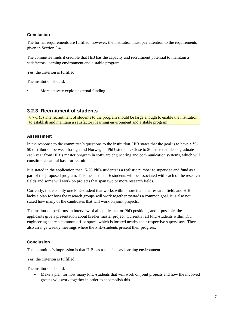## **Conclusion**

The formal requirements are fulfilled; however, the institution must pay attention to the requirements given in Section 3.4.

The committee finds it credible that HiB has the capacity and recruitment potential to maintain a satisfactory learning environment and a stable program.

Yes, the criterion is fulfilled.

The institution should:

More actively exploit external funding

## **3.2.3 Recruitment of students**

§ 7-1 (3) The recruitment of students to the program should be large enough to enable the institution to establish and maintain a satisfactory learning environment and a stable program.

## **Assessment**

In the response to the committee's questions to the institution, HiB states that the goal is to have a 50- 50 distribution between foreign and Norwegian PhD-students. Close to 20 master students graduate each year from HiB's master program in software engineering and communication systems, which will constitute a natural base for recruitment.

It is stated in the application that 15-20 PhD-students is a realistic number to supervise and fund as a part of the proposed program. This means that 4-6 students will be associated with each of the research fields and some will work on projects that span two or more research fields.

Currently, there is only one PhD-student that works within more than one research field, and HiB lacks a plan for how the research groups will work together towards a common goal. It is also not stated how many of the candidates that will work on joint projects.

The institution performs an interview of all applicants for PhD positions, and if possible, the applicants give a presentation about his/her master project. Currently, all PhD-students within ICT engineering share a common office space, which is located nearby their respective supervisors. They also arrange weekly meetings where the PhD-students present their progress.

## **Conclusion**

The committee's impression is that HiB has a satisfactory learning environment.

Yes, the criterion is fulfilled.

The institution should:

 Make a plan for how many PhD-students that will work on joint projects and how the involved groups will work together in order to accomplish this.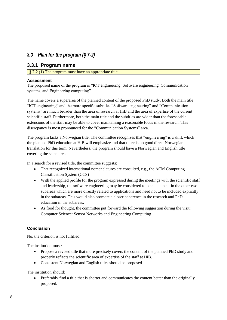## <span id="page-11-0"></span>*3.3 Plan for the program (§ 7-2)*

## **3.3.1 Program name**

§ 7-2 (1) The program must have an appropriate title.

## **Assessment**

The proposed name of the program is "ICT engineering: Software engineering, Communication systems, and Engineering computing".

The name covers a superarea of the planned content of the proposed PhD study. Both the main title "ICT engineering" and the more specific subtitles "Software engineering" and "Communication systems" are much broader than the area of research at HiB and the area of expertise of the current scientific staff. Furthermore, both the main title and the subtitles are wider than the foreseeable extensions of the staff may be able to cover maintaining a reasonable focus in the research. This discrepancy is most pronounced for the "Communication Systems" area.

The program lacks a Norwegian title. The committee recognizes that "engineering" is a skill, which the planned PhD education at HiB will emphasize and that there is no good direct Norwegian translation for this term. Nevertheless, the program should have a Norwegian and English title covering the same area.

In a search for a revised title, the committee suggests:

- That recognized international nomenclatures are consulted, e.g., the ACM Computing Classification System (CCS)
- With the applied profile for the program expressed during the meetings with the scientific staff and leadership, the software engineering may be considered to be an element in the other two subareas which are more directly related to applications and need not to be included explicitly in the subareas. This would also promote a closer coherence in the research and PhD education in the subareas.
- As food for thought, the committee put forward the following suggestion during the visit: Computer Science: Sensor Networks and Engineering Computing

## **Conclusion**

No, the criterion is not fulfilled.

The institution must:

- Propose a revised title that more precisely covers the content of the planned PhD study and properly reflects the scientific area of expertise of the staff at HiB.
- Consistent Norwegian and English titles should be proposed.

The institution should:

• Preferably find a title that is shorter and communicates the content better than the originally proposed.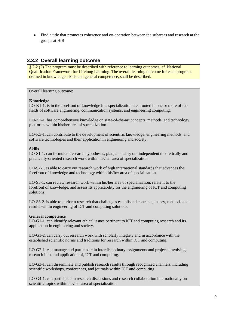Find a title that promotes coherence and co-operation between the subareas and research at the groups at HiB.

## **3.3.2 Overall learning outcome**

§ 7-2 (2) The program must be described with reference to learning outcomes, cf. National Qualification Framework for Lifelong Learning. The overall learning outcome for each program, defined in knowledge, skills and general competence, shall be described.

Overall learning outcome:

#### **Knowledge**

LO-K1-1. is in the forefront of knowledge in a specialization area rooted in one or more of the fields of software engineering, communication systems, and engineering computing.

LO-K2-1. has comprehensive knowledge on state-of-the-art concepts, methods, and technology platforms within his/her area of specialization.

LO-K3-1. can contribute to the development of scientific knowledge, engineering methods, and software technologies and their application in engineering and society.

#### **Skills**

LO-S1-1. can formulate research hypotheses, plan, and carry out independent theoretically and practically-oriented research work within his/her area of specialization.

LO-S2-1. is able to carry out research work of high international standards that advances the forefront of knowledge and technology within his/her area of specialization.

LO-S3-1. can review research work within his/her area of specialization, relate it to the forefront of knowledge, and assess its applicability for the engineering of ICT and computing solutions.

LO-S3-2. is able to perform research that challenges established concepts, theory, methods and results within engineering of ICT and computing solutions.

## **General competence**

LO-G1-1. can identify relevant ethical issues pertinent to ICT and computing research and its application in engineering and society.

LO-G1-2. can carry out research work with scholarly integrity and in accordance with the established scientific norms and traditions for research within ICT and computing.

LO-G2-1. can manage and participate in interdisciplinary assignments and projects involving research into, and application of, ICT and computing.

LO-G3-1. can disseminate and publish research results through recognized channels, including scientific workshops, conferences, and journals within ICT and computing.

LO-G4-1. can participate in research discussions and research collaboration internationally on scientific topics within his/her area of specialization.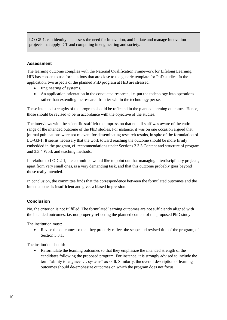LO-G5-1. can identity and assess the need for innovation, and initiate and manage innovation projects that apply ICT and computing in engineering and society.

## **Assessment**

The learning outcome complies with the National Qualification Framework for Lifelong Learning. HiB has chosen to use formulations that are close to the generic template for PhD studies. In the application, two aspects of the planned PhD program at HiB are stressed:

- Engineering of systems.
- An application orientation in the conducted research, i.e. put the technology into operations rather than extending the research frontier within the technology per se.

These intended strengths of the program should be reflected in the planned learning outcomes. Hence, those should be revised to be in accordance with the objective of the studies.

The interviews with the scientific staff left the impression that not all staff was aware of the entire range of the intended outcome of the PhD studies. For instance, it was on one occasion argued that journal publications were not relevant for disseminating research results, in spite of the formulation of LO-G3-1. It seems necessary that the work toward reaching the outcome should be more firmly embedded in the program, cf. recommendations under Sections 3.3.3 Content and structure of program and 3.3.4 Work and teaching methods.

In relation to LO-G2-1, the committee would like to point out that managing interdisciplinary projects, apart from very small ones, is a very demanding task, and that this outcome probably goes beyond those really intended.

In conclusion, the committee finds that the correspondence between the formulated outcomes and the intended ones is insufficient and gives a biased impression.

## **Conclusion**

No, the criterion is not fulfilled. The formulated learning outcomes are not sufficiently aligned with the intended outcomes, i.e. not properly reflecting the planned content of the proposed PhD study.

The institution must:

 Revise the outcomes so that they properly reflect the scope and revised title of the program, cf. Section 3.3.1.

The institution should:

 Reformulate the learning outcomes so that they emphasize the intended strength of the candidates following the proposed program. For instance, it is strongly advised to include the term "ability to engineer … systems" as skill. Similarly, the overall description of learning outcomes should de-emphasize outcomes on which the program does not focus.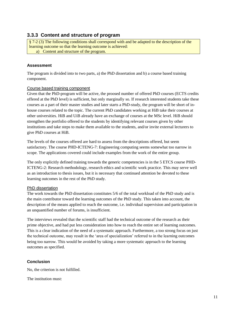## **3.3.3 Content and structure of program**

§ 7-2 (3) The following conditions shall correspond with and be adapted to the description of the learning outcome so that the learning outcome is achieved:

a) Content and structure of the program.

## **Assessment**

The program is divided into to two parts, a) the PhD dissertation and b) a course based training component.

#### Course based training component

Given that the PhD-program will be active, the proosed number of offered PhD courses (ECTS credits offered at the PhD level) is sufficient, but only marginally so. If research interested students take these courses as a part of their master studies and later starts a PhD-study, the program will be short of inhouse courses related to the topic. The current PhD candidates working at HiB take their courses at other universities. HiB and UiB already have an exchange of courses at the MSc level. HiB should strengthen the portfolio offered to the students by identifying relevant courses given by other institutions and take steps to make them available to the students, and/or invite external lecturers to give PhD courses at HiB.

The levels of the courses offered are hard to assess from the descriptions offered, but seem satisfactory. The course PHD-ICTENG-7: Engineering computing seems somewhat too narrow in scope. The applications covered could include examples from the work of the entire group.

The only explicitly defined training towards the generic competencies is in the 5 ETCS course PHD-ICTENG-2: Research methodology, research ethics and scientific work practice. This may serve well as an introduction to thesis issues, but it is necessary that continued attention be devoted to these learning outcomes in the rest of the PhD study.

## PhD dissertation

The work towards the PhD dissertation constitutes 5/6 of the total workload of the PhD study and is the main contributor toward the learning outcomes of the PhD study. This taken into account, the description of the means applied to reach the outcome, i.e. individual supervision and participation in an unquantified number of forums, is insufficient.

The interviews revealed that the scientific staff had the technical outcome of the research as their prime objective, and had put less consideration into how to reach the entire set of learning outcomes. This is a clear indication of the need of a systematic approach. Furthermore, a too strong focus on just the technical outcome, may result in the 'area of specialization' referred to in the learning outcomes being too narrow. This would be avoided by taking a more systematic approach to the learning outcomes as specified.

## **Conclusion**

No, the criterion is not fulfilled.

The institution must: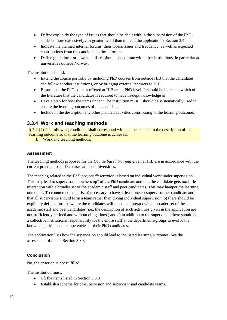- Define explicitly the type of issues that should be dealt with in the supervision of the PhDstudents more extensively / in greater detail than done in the application's Section 2.4.
- Indicate the planned internal forums, their topics/issues and frequency, as well as expected contributions from the candidate in these forums.
- Define guidelines for how candidates should spend time with other institutions, in particular at universities outside Norway.

The institution should:

- Extend the course portfolio by including PhD courses from outside HiB that the candidates can follow at other institutions, or by bringing external lecturers to HiB.
- Ensure that the PhD courses offered at HiB are at PhD level. It should be indicated which of the literature that the candidates is required to have in-depth knowledge of.
- Have a plan for how the items under "The institution must:" should be systematically used to ensure the learning outcomes of the candidates
- Include in the description any other planned activities contributing to the learning outcome.

## **3.3.4 Work and teaching methods**

§ 7-2 (4) The following conditions shall correspond with and be adapted to the description of the learning outcome so that the learning outcome is achieved: b) Work and teaching methods.

## **Assessment**

The teaching methods proposed for the *Course based training* given at HiB are in accordance with the current practice for PhD courses at most universities.

The teaching related to the *PhD project/dissertation* is based on individual work under supervision. This may lead to supervisors' "ownership" of the PhD candidate and that the candidate gets too little interaction with a broader set of the academic staff and peer candidates. This may hamper the learning outcomes. To counteract this, it is: a) necessary to have at least one co-supervisor per candidate and that all supervisors should form a team rather than giving individual supervision, b) there should be explicitly defined forums where the candidates will meet and interact with a broader set of the academic staff and peer candidates (i.e., the description of such activities given in the application are not sufficiently defined and without obligations.) and c) in addition to the supervision there should be a collective institutional responsibility for the entire staff at the departments/groups to evolve the knowledge, skills and competencies of their PhD candidates.

The application lists how the supervision should lead to the listed learning outcomes. See the assessment of this in Section 3.3.3.

#### **Conclusion**

No, the criterion is not fulfilled.

The institution must:

- Cf. the items listed in Section 3.3.3
- Establish a scheme for co-supervision and supervisor and candidate teams.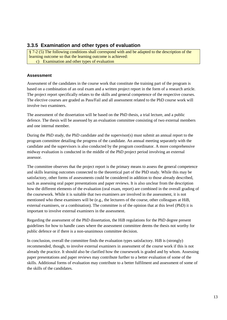## **3.3.5 Examination and other types of evaluation**

§ 7-2 (5) The following conditions shall correspond with and be adapted to the description of the learning outcome so that the learning outcome is achieved: c) Examination and other types of evaluation

## **Assessment**

Assessment of the candidates in the course work that constitute the training part of the program is based on a combination of an oral exam and a written project report in the form of a research article. The project report specifically relates to the skills and general competence of the respective courses. The elective courses are graded as Pass/Fail and all assessment related to the PhD course work will involve two examiners.

The assessment of the dissertation will be based on the PhD thesis, a trial lecture, and a public defence. The thesis will be assessed by an evaluation committee consisting of two external members and one internal member.

During the PhD study, the PhD candidate and the supervisor(s) must submit an annual report to the program committee detailing the progress of the candidate. An annual meeting separately with the candidate and the supervisors is also conducted by the program coordinator. A more comprehensive midway evaluation is conducted in the middle of the PhD project period involving an external assessor.

The committee observes that the project report is the primary means to assess the general competence and skills learning outcomes connected to the theoretical part of the PhD study. While this may be satisfactory, other forms of assessments could be considered in addition to those already described, such as assessing oral paper presentations and paper reviews. It is also unclear from the description how the different elements of the evaluation (oral exam, report) are combined in the overall grading of the coursework. While it is suitable that two examiners are involved in the assessment, it is not mentioned who these examiners will be (e.g., the lecturers of the course, other colleagues at HiB, external examiners, or a combination). The committee is of the opinion that at this level (PhD) it is important to involve external examiners in the assessment.

Regarding the assessment of the PhD dissertation, the HiB regulations for the PhD degree present guidelines for how to handle cases where the assessment committee deems the thesis not worthy for public defence or if there is a non-unanimous committee decision.

In conclusion, overall the committee finds the evaluation types satisfactory. HiB is (strongly) recommended, though, to involve external examiners in assessment of the course work if this is not already the practice. It should also be clarified how the coursework is graded and by whom. Assessing paper presentations and paper reviews may contribute further to a better evaluation of some of the skills. Additional forms of evaluation may contribute to a better fulfilment and assessment of some of the skills of the candidates.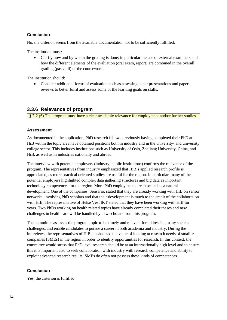## **Conclusion**

No, the criterion seems from the available documentation not to be sufficiently fulfilled.

The institution must:

 Clarify how and by whom the grading is done; in particular the use of external examiners and how the different elements of the evaluation (oral exam, report) are combined in the overall grading (pass/fail) of the coursework.

The institution should:

 Consider additional forms of evaluation such as assessing paper presentations and paper reviews to better fulfil and assess some of the learning goals on skills.

## **3.3.6 Relevance of program**

§ 7-2 (6) The program must have a clear academic relevance for employment and/or further studies.

## **Assessment**

As documented in the application, PhD research fellows previously having completed their PhD at HiB within the topic area have obtained positions both in industry and in the university- and university college sector. This includes institutions such as University of Oslo, Zhejiang University, China, and HiB, as well as in industries nationally and abroad.

The interview with potential employers (industry, public institutions) confirms the relevance of the program. The representatives from industry emphasized that HiB´s applied research profile is appreciated, as more practical oriented studies are useful for the region. In particular, many of the potential employers highlighted complex data gathering structures and big data as important technology competences for the region. More PhD employments are expected as a natural development. One of the companies, Sensario, stated that they are already working with HiB on sensor networks, involving PhD scholars and that their development is much to the credit of the collaboration with HiB. The representative of Helse Vest IKT stated that they have been working with HiB for years. Two PhDs working on health related topics have already completed their theses and new challenges in health care will be handled by new scholars from this program.

The committee assesses the program topic to be timely and relevant for addressing many societal challenges, and enable candidates to pursue a career in both academia and industry. During the interviews, the representatives of HiB emphasized the value of looking at research needs of smaller companies (SMEs) in the region in order to identify opportunities for research. In this context, the committee would stress that PhD level research should be at an internationally high level and to ensure this it is important also to seek collaboration with industry with research competence and ability to exploit advanced research results. SMEs do often not possess these kinds of competences.

## **Conclusion**

Yes, the criterion is fulfilled.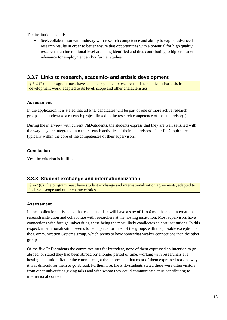The institution should:

 Seek collaboration with industry with research competence and ability to exploit advanced research results in order to better ensure that opportunities with a potential for high quality research at an international level are being identified and thus contributing to higher academic relevance for employment and/or further studies.

## **3.3.7 Links to research, academic- and artistic development**

§ 7-2 (7) The program must have satisfactory links to research and academic and/or artistic development work, adapted to its level, scope and other characteristics.

## **Assessment**

In the application, it is stated that all PhD candidates will be part of one or more active research groups, and undertake a research project linked to the research competence of the supervisor(s).

During the interview with current PhD-students, the students express that they are well satisfied with the way they are integrated into the research activities of their supervisors. Their PhD topics are typically within the core of the competences of their supervisors.

## **Conclusion**

Yes, the criterion is fulfilled.

## **3.3.8 Student exchange and internationalization**

§ 7-2 (8) The program must have student exchange and internationalization agreements, adapted to its level, scope and other characteristics.

#### **Assessment**

In the application, it is stated that each candidate will have a stay of 1 to 6 months at an international research institution and collaborate with researchers at the hosting institution. Most supervisors have connections with foreign universities, these being the most likely candidates as host institutions. In this respect, internationalization seems to be in place for most of the groups with the possible exception of the Communication Systems group, which seems to have somewhat weaker connections than the other groups.

Of the five PhD-students the committee met for interview, none of them expressed an intention to go abroad, or stated they had been abroad for a longer period of time, working with researchers at a hosting institution. Rather the committee got the impression that most of them expressed reasons why it was difficult for them to go abroad. Furthermore, the PhD-students stated there were often visitors from other universities giving talks and with whom they could communicate, thus contributing to international contact.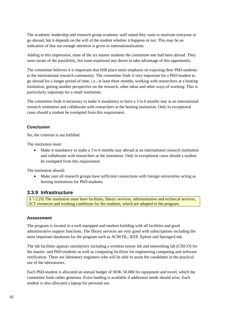The academic leadership and research group academic staff stated they want to motivate everyone to go abroad, but it depends on the will of the student whether it happens or not. This may be an indication of that not enough attention is given to internationalization.

Adding to this impression, none of the six master students the committee met had been abroad. They were aware of the possibility, but none expressed any desire to take advantage of this opportunity.

The committee believes it is important that HiB place more emphasis on exposing their PhD-students to the international research community. The committee finds it very important for a PhD-student to go abroad for a longer period of time, i.e., at least three months, working with researchers at a hosting institution, getting another perspective on the research, other ideas and other ways of working. This is particularly important for a small institution.

The committee finds it necessary to make it mandatory to have a 3 to 6 months stay at an international research institution and collaborate with researchers at the hosting institution. Only in exceptional cases should a student be exempted from this requirement.

## **Conclusion**

No, the criterion is not fulfilled.

The institution must:

 Make it mandatory to make a 3 to 6 months stay abroad at an international research institution and collaborate with researchers at the institution. Only in exceptional cases should a student be exempted from this requirement.

The institution should:

 Make sure all research groups have sufficient connections with foreign universities acting as hosting institutions for PhD-students.

## **3.3.9 Infrastructure**

§ 7-2 (9) The institution must have facilities, library services, administrative and technical services, ICT resources and working conditions for the students, which are adapted to the program.

## **Assessment**

The program is located in a well-equipped and modern building with all facilities and good administrative support functions. The library services are very good with subscriptions including the most important databases for the program such as ACM DL, IEEE Xplore and SpringerLink.

The lab facilities appears satisfactory including a wireless sensor lab and networking lab (CISCO) for the master- and PhD-students as well as computing facilities for engineering computing and software verification. There are laboratory engineers who will be able to assist the candidates in the practical use of the laboratories.

Each PhD-student is allocated an annual budget of NOK 50.000 for equipment and travel, which the committee finds rather generous. Extra funding is available if additional needs should arise. Each student is also allocated a laptop for personal use.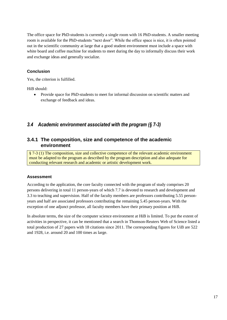The office space for PhD-students is currently a single room with 16 PhD-students. A smaller meeting room is available for the PhD-students "next door". While the office space is nice, it is often pointed out in the scientific community at large that a good student environment must include a space with white board and coffee machine for students to meet during the day to informally discuss their work and exchange ideas and generally socialize.

## **Conclusion**

Yes, the criterion is fulfilled.

HiB should:

• Provide space for PhD-students to meet for informal discussion on scientific matters and exchange of feedback and ideas.

## <span id="page-20-0"></span>*3.4 Academic environment associated with the program (§ 7-3)*

## **3.4.1 The composition, size and competence of the academic environment**

§ 7-3 (1) The composition, size and collective competence of the relevant academic environment must be adapted to the program as described by the program description and also adequate for conducting relevant research and academic or artistic development work.

## **Assessment**

According to the application, the core faculty connected with the program of study comprises 20 persons delivering in total 11 person-years of which 7.7 is devoted to research and development and 3.3 to teaching and supervision. Half of the faculty members are professors contributing 5.55 personyears and half are associated professors contributing the remaining 5.45 person-years. With the exception of one adjunct professor, all faculty members have their primary position at HiB.

In absolute terms, the size of the computer science environment at HiB is limited. To put the extent of activities in perspective, it can be mentioned that a search in Thomson-Reuters Web of Science listed a total production of 27 papers with 18 citations since 2011. The corresponding figures for UiB are 522 and 1928, i.e. around 20 and 100 times as large.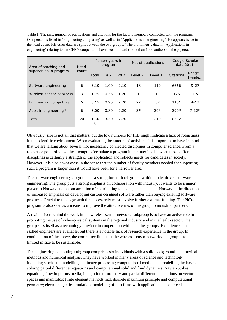Table 1. The size, number of publications and citations for the faculty members connected with the program. One person is listed in 'Engineering computing' as well as in 'Applications in engineering'. He appears twice in the head count. His other data are split between the two groups. \*The bibliometric data in 'Applications in engineering' relating to the CERN cooperation have been omitted (more than 1000 authors on the papers).

| Area of teaching and     | Head<br>count | Person-years in<br>program |                |                | No. of publications |         | Google Scholar<br>data 2011- |                  |
|--------------------------|---------------|----------------------------|----------------|----------------|---------------------|---------|------------------------------|------------------|
| supervision in program   |               | Total                      | <b>T&amp;S</b> | <b>R&amp;D</b> | Level 2             | Level 1 | Citations                    | Range<br>h-index |
| Software engineering     | 6             | 3.10                       | 1.00           | 2.10           | 18                  | 119     | 6666                         | $9 - 27$         |
| Wireless sensor networks | 3             | 1.75                       | 0.55           | 1.20           | 1                   | 13      | 175                          | $1 - 5$          |
| Engineering computing    | 6             | 3.15                       | 0.95           | 2.20           | 22                  | 57      | 1101                         | $4 - 13$         |
| Appl. in engineering*    | 6             | 3.00                       | 0.80           | 2.20           | $3*$                | $30*$   | $390*$                       | $7 - 12*$        |
| Total                    | 20            | 11.0<br>$\mathbf{0}$       | 3.30           | 7.70           | 44                  | 219     | 8332                         |                  |

Obviously, size is not all that matters, but the low numbers for HiB might indicate a lack of robustness in the scientific environment. When evaluating the amount of activities, it is important to have in mind that we are talking about several, not necessarily connected disciplines in computer science. From a relevance point of view, the attempt to formulate a program in the interface between those different disciplines is certainly a strength of the application and reflects needs for candidates in society. However, it is also a weakness in the sense that the number of faculty members needed for supporting such a program is larger than it would have been for a narrower area.

The software engineering subgroup has a strong formal background within model driven software engineering. The group puts a strong emphasis on collaboration with industry. It wants to be a major player in Norway and has an ambition of contributing to change the agenda in Norway in the direction of increased emphasis on developing custom designed software rather than buying existing software products. Crucial to this is growth that necessarily must involve further external funding. The PhDprogram is also seen as a means to improve the attractiveness of the group to industrial partners.

A main driver behind the work in the wireless sensor networks subgroup is to have an active role in promoting the use of cyber-physical systems in the regional industry and in the health sector. The group sees itself as a technology provider in cooperation with the other groups. Experienced and skilled engineers are available, but there is a notable lack of research experience in the group. In continuation of the above, the committee finds that the wireless sensor networks subgroup is too limited in size to be sustainable.

The engineering computing subgroup comprises six individuals with a solid background in numerical methods and numerical analysis. They have worked in many areas of science and technology including stochastic modelling and image processing computational medicine – modelling the larynx; solving partial differential equations and computational solid and fluid dynamics, Navier-Stokes equations, flow in porous media; integration of ordinary and partial differential equations on vector spaces and manifolds; finite element methods incl. discrete maximum principle and computational geometry; electromagnetic simulation, modelling of thin films with applications in solar cell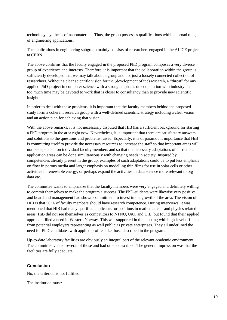technology, synthesis of nanomaterials. Thus, the group possesses qualifications within a broad range of engineering applications.

The applications in engineering subgroup mainly consists of researchers engaged in the ALICE project at CERN.

The above confirms that the faculty engaged in the proposed PhD program composes a very diverse group of experience and interests. Therefore, it is important that the collaboration within the group is sufficiently developed that we may talk about a group and not just a loosely connected collection of researchers. Without a clear scientific vision for the (development of the) research, a "threat" for any applied PhD-project in computer science with a strong emphasis on cooperation with industry is that too much time may be devoted to work that is closer to consultancy than to provide new scientific insight.

In order to deal with these problems, it is important that the faculty members behind the proposed study form a coherent research group with a well-defined scientific strategy including a clear vision and an action plan for achieving that vision.

With the above remarks, it is not necessarily disputed that HiB has a sufficient background for starting a PhD program in the area right now. Nevertheless, it is important that there are satisfactory answers and solutions to the questions and problems raised. Especially, it is of paramount importance that HiB is committing itself to provide the necessary resources to increase the staff so that important areas will not be dependent on individual faculty members and so that the necessary adaptations of curricula and application areas can be done simultaneously with changing needs in society. Inspired by competencies already present in the group, examples of such adaptations could be to put less emphasis on flow in porous media and larger emphasis on modelling thin films for use in solar cells or other activities in renewable energy, or perhaps expand the activities in data science more relevant to big data etc.

The committee wants to emphasize that the faculty members were very engaged and definitely willing to commit themselves to make the program a success. The PhD-students were likewise very positive, and board and management had shown commitment to invest in the growth of the area. The vision of HiB is that 50 % of faculty members should have research competence. During interviews, it was mentioned that HiB had many qualified applicants for positions in mathematical- and physics related areas. HiB did not see themselves as competitors to NTNU, UiO, and UiB, but found that their applied approach filled a need in Western Norway. This was supported in the meeting with high-level officials from potential employers representing as well public as private enterprises. They all underlined the need for PhD-candidates with applied profiles like those described in the program.

Up-to-date laboratory facilities are obviously an integral part of the relevant academic environment. The committee visited several of those and had others described. The general impression was that the facilities are fully adequate.

## **Conclusion**

No, the criterion is not fulfilled.

The institution must: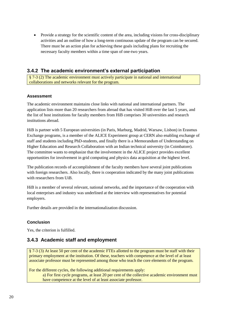Provide a strategy for the scientific content of the area, including visions for cross-disciplinary activities and an outline of how a long-term continuous update of the program can be secured. There must be an action plan for achieving these goals including plans for recruiting the necessary faculty members within a time span of one-two years.

## **3.4.2 The academic environment's external participation**

§ 7-3 (2) The academic environment must actively participate in national and international collaborations and networks relevant for the program.

## **Assessment**

The academic environment maintains close links with national and international partners. The application lists more than 20 researchers from abroad that has visited HiB over the last 5 years, and the list of host institutions for faculty members from HiB comprises 30 universities and research institutions abroad.

HiB is partner with 5 European universities (in Paris, Marburg, Madrid, Warsaw, Lisbon) in Erasmus Exchange programs, is a member of the ALICE Experiment group at CERN also enabling exchange of staff and students including PhD-students, and finally there is a Memorandum of Understanding on Higher Education and Research Collaboration with an Indian technical university (in Coimbatore). The committee wants to emphasize that the involvement in the ALICE project provides excellent opportunities for involvement in grid computing and physics data acquisition at the highest level.

The publication records of accomplishment of the faculty members have several joint publications with foreign researchers. Also locally, there is cooperation indicated by the many joint publications with researchers from UiB.

HiB is a member of several relevant, national networks, and the importance of the cooperation with local enterprises and industry was underlined at the interview with representatives for potential employers.

Further details are provided in the internationalization discussion.

## **Conclusion**

Yes, the criterion is fulfilled.

## **3.4.3 Academic staff and employment**

§ 7-3 (3) At least 50 per cent of the academic FTEs allotted to the program must be staff with their primary employment at the institution. Of these, teachers with competence at the level of at least associate professor must be represented among those who teach the core elements of the program.

For the different cycles, the following additional requirements apply:

a) For first cycle programs, at least 20 per cent of the collective academic environment must have competence at the level of at least associate professor.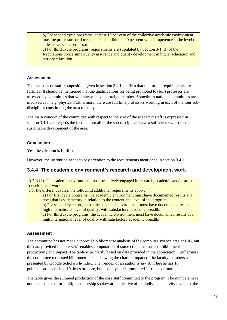b) For second cycle programs, at least 10 per cent of the collective academic environment must be professors or docents, and an additional 40 per cent with competence at the level of at least associate professor.

c) For third cycle programs, requirements are stipulated by Section 3-1 (3) of the Regulations concerning quality assurance and quality development in higher education and tertiary education.

## **Assessment**

The statistics on staff composition given in section 3.4.1 confirm that the formal requirements are fulfilled. It should be mentioned that the qualifications for being promoted to (full) professor are assessed by committees that will always have a foreign member. Sometimes national committees are involved as in e.g. physics. Furthermore, there are full time professors working in each of the four subdisciplines constituting the area of study.

The main concern of the committee with respect to the size of the academic staff is expressed in section 3.4.1 and regards the fact that not all of the sub-disciplines have a sufficient size to secure a sustainable development of the area.

## **Conclusion**

Yes, the criterion is fulfilled.

However, the institution needs to pay attention to the requirements mentioned in section 3.4.1.

## **3.4.4 The academic environment's research and development work**

§ 7-3 (4) The academic environment must be actively engaged in research, academic and/or artistic development work.

For the different cycles, the following additional requirements apply:

a) For first cycle programs, the academic environment must have documented results at a level that is satisfactory in relation to the content and level of the program.

b) For second cycle programs, the academic environment must have documented results at a high international level of quality, with satisfactory academic breadth.

c) For third cycle programs, the academic environment must have documented results at a high international level of quality with satisfactory academic breadth.

## **Assessment**

The committee has not made a thorough bibliometric analysis of the computer science area at HiB, but the data provided in table 3.4.1 enables computation of some crude measures of bibliometric productivity and impact. The table is primarily based on data provided in the application. Furthermore, the committee requested bibliometric data showing the citation impact of the faculty members as presented by Google Scholar's h-index. The h-index of an author is say 10 if he/she has 10 publications each cited 10 times or more, but not 11 publications cited 11 times or more.

The table gives the summed production of the core staff committed to the program. The numbers have not been adjusted for multiple authorship so they are indicative of the individual activity level, not the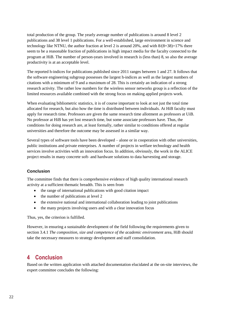total production of the group. The yearly average number of publications is around 8 level 2 publications and 38 level 1 publications. For a well-established, large environment in science and technology like NTNU, the author fraction at level 2 is around 20%, and with  $8/(8+38)=17%$  there seem to be a reasonable fraction of publications in high impact media for the faculty connected to the program at HiB. The number of person-years involved in research is (less than) 8, so also the average productivity is at an acceptable level.

The reported h-indices for publications published since 2011 ranges between 1 and 27. It follows that the software engineering subgroup possesses the largest h-indices as well as the largest numbers of citations with a minimum of 9 and a maximum of 28. This is certainly an indication of a strong research activity. The rather low numbers for the wireless sensor networks group is a reflection of the limited resources available combined with the strong focus on making applied projects work.

When evaluating bibliometric statistics, it is of course important to look at not just the total time allocated for research, but also how the time is distributed between individuals. At HiB faculty must apply for research time. Professors are given the same research time allotment as professors at UiB. No professor at HiB has yet lost research time, but some associate professors have. Thus, the conditions for doing research are, at least formally, rather similar to conditions offered at regular universities and therefore the outcome may be assessed in a similar way.

Several types of software tools have been developed – alone or in cooperation with other universities, public institutions and private enterprises. A number of projects in welfare technology and health services involve activities with an innovation focus. In addition, obviously, the work in the ALICE project results in many concrete soft- and hardware solutions to data harvesting and storage.

## **Conclusion**

The committee finds that there is comprehensive evidence of high quality international research activity at a sufficient thematic breadth. This is seen from

- the range of international publications with good citation impact
- $\bullet$  the number of publications at level 2
- the extensive national and international collaboration leading to joint publications
- the many projects involving users and with a clear innovation focus

Thus, yes, the criterion is fulfilled.

However, in ensuring a sustainable development of the field following the requirements given to section 3.4.1 *The composition, size and competence of the academic environment* area, HiB should take the necessary measures to strategy development and staff consolidation.

## <span id="page-25-0"></span>**4 Conclusion**

Based on the written application with attached documentation elucidated at the on-site interviews, the expert committee concludes the following: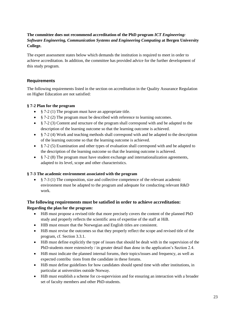## **The committee does not recommend accreditation of the PhD program** *ICT Engineering: Software Engineering, Communication Systems and Engineering Computing* **at Bergen University College.**

The expert assessment states below which demands the institution is required to meet in order to achieve accreditation. In addition, the committee has provided advice for the further development of this study program.

## **Requirements**

The following requirements listed in the section on accreditation in the Quality Assurance Regulation on Higher Education are not satisfied:

## **§ 7-2 Plan for the program**

- § 7-2 (1) The program must have an appropriate title.
- § 7-2 (2) The program must be described with reference to learning outcomes.
- § 7-2 (3) Content and structure of the program shall correspond with and be adapted to the description of the learning outcome so that the learning outcome is achieved.
- § 7-2 (4) Work and teaching methods shall correspond with and be adapted to the description of the learning outcome so that the learning outcome is achieved.
- § 7-2 (5) Examination and other types of evaluation shall correspond with and be adapted to the description of the learning outcome so that the learning outcome is achieved.
- § 7-2 (8) The program must have student exchange and internationalization agreements, adapted to its level, scope and other characteristics.

## **§ 7-3 The academic environment associated with the program**

•  $§$  7-3 (1) The composition, size and collective competence of the relevant academic environment must be adapted to the program and adequate for conducting relevant R&D work.

## **The following requirements must be satisfied in order to achieve accreditation: Regarding the plan for the program:**

- HiB must propose a revised title that more precisely covers the content of the planned PhD study and properly reflects the scientific area of expertise of the staff at HiB.
- HIB must ensure that the Norwegian and English titles are consistent.
- HiB must revise the outcomes so that they properly reflect the scope and revised title of the program, cf. Section 3.3.1.
- HiB must define explicitly the type of issues that should be dealt with in the supervision of the PhD-students more extensively / in greater detail than done in the application's Section 2.4.
- HiB must indicate the planned internal forums, their topics/issues and frequency, as well as expected contribu tions from the candidate in these forums.
- HiB must define guidelines for how candidates should spend time with other institutions, in particular at universities outside Norway.
- HiB must establish a scheme for co-supervision and for ensuring an interaction with a broader set of faculty members and other PhD-students.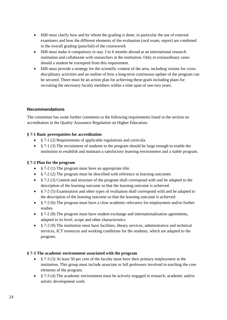- HiB must clarify how and by whom the grading is done; in particular the use of external examiners and how the different elements of the evaluation (oral exam, report) are combined in the overall grading (pass/fail) of the coursework
- HiB must make it compulsory to stay 3 to 6 months abroad at an international research institution and collaborate with researchers at the institution. Only in extraordinary cases should a student be exempted from this requirement.
- HiB must provide a strategy for the scientific content of the area, including visions for crossdisciplinary activities and an outline of how a long-term continuous update of the program can be secured. There must be an action plan for achieving these goals including plans for recruiting the necessary faculty members within a time span of one-two years.

## **Recommendations**

The committee has some further comments to the following requirements listed in the section on accreditation in the Quality Assurance Regulation on Higher Education:

## **§ 7-1 Basic prerequisites for accreditation**

- § 7-1 (2) Requirements of applicable regulations and curricula
- § 7-1 (3) The recruitment of students to the program should be large enough to enable the institution to establish and maintain a satisfactory learning environment and a stable program.

## **§ 7-2 Plan for the program**

- § 7-2 (1) The program must have an appropriate title.
- § 7-2 (2) The program must be described with reference to learning outcomes
- § 7-2 (3) Content and structure of the program shall correspond with and be adapted to the description of the learning outcome so that the learning outcome is achieved.
- § 7-2 (5) Examination and other types of evaluation shall correspond with and be adapted to the description of the learning outcome so that the learning outcome is achieved:
- § 7-2 (6) The program must have a clear academic relevance for employment and/or further studies.
- § 7-2 (8) The program must have student exchange and internationalization agreements, adapted to its level, scope and other characteristics
- § 7-2 (9) The institution must have facilities, library services, administrative and technical services, ICT resources and working conditions for the students, which are adapted to the program.

#### **§ 7-3 The academic environment associated with the program**

- $\S$  7-3 (3) At least 50 per cent of the faculty must have their primary employment at the institution. This group must include associate or full professors involved in teaching the core elements of the program.
- § 7-3 (4) The academic environment must be actively engaged in research, academic and/or artistic development work.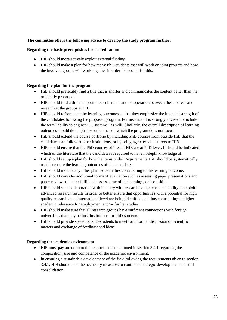## **The committee offers the following advice to develop the study program further:**

#### **Regarding the basic prerequisites for accreditation:**

- HiB should more actively exploit external funding.
- HiB should make a plan for how many PhD-students that will work on joint projects and how the involved groups will work together in order to accomplish this.

## **Regarding the plan for the program:**

- HiB should preferably find a title that is shorter and communicates the content better than the originally proposed.
- HiB should find a title that promotes coherence and co-operation between the subareas and research at the groups at HiB.
- HiB should reformulate the learning outcomes so that they emphasize the intended strength of the candidates following the proposed program. For instance, it is strongly advised to include the term "ability to engineer … systems" as skill. Similarly, the overall description of learning outcomes should de-emphasize outcomes on which the program does not focus.
- HiB should extend the course portfolio by including PhD courses from outside HiB that the candidates can follow at other institutions, or by bringing external lecturers to HiB.
- HiB should ensure that the PhD courses offered at HiB are at PhD level. It should be indicated which of the literature that the candidates is required to have in-depth knowledge of.
- HiB should set up a plan for how the items under Requirements D-F should be systematically used to ensure the learning outcomes of the candidates.
- HiB should include any other planned activities contributing to the learning outcome.
- HiB should consider additional forms of evaluation such as assessing paper presentations and paper reviews to better fulfil and assess some of the learning goals on skills.
- HiB should seek collaboration with industry with research competence and ability to exploit advanced research results in order to better ensure that opportunities with a potential for high quality research at an international level are being identified and thus contributing to higher academic relevance for employment and/or further studies.
- HiB should make sure that all research groups have sufficient connections with foreign universities that may be host institutions for PhD-students
- HiB should provide space for PhD-students to meet for informal discussion on scientific matters and exchange of feedback and ideas

## **Regarding the academic environment:**

- HiB must pay attention to the requirements mentioned in section 3.4.1 regarding the composition, size and competence of the academic environment.
- In ensuring a sustainable development of the field following the requirements given to section 3.4.1, HiB should take the necessary measures to continued strategic development and staff consolidation.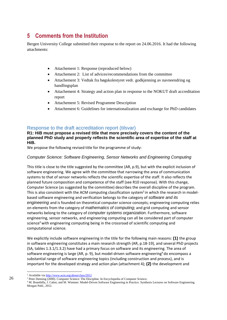## <span id="page-29-0"></span>**5 Comments from the Institution**

Bergen University College submitted their response to the report on 24.06.2016. It had the following attachments:

- Attachement 1: Response (reproduced below)
- Attachement 2: List of advices/recommendations from the committee
- Attachement 3: Vedtak fra høgskolestyret vedr. godkjenning av navneendring og handlingsplan
- Attachement 4: Strategy and action plan in response to the NOKUT draft accreditation report
- Attachement 5: Revised Programme Description
- Attachement 6: Guidelines for internationalization and exchange for PhD candidates

## Response to the draft accreditation report (tilsvar)

**R1: HiB must propose a revised title that more precisely covers the content of the planned PhD study and properly reflects the scientific area of expertise of the staff at HiB.**

We propose the following revised title for the programme of study:

## *Computer Science: Software Engineering, Sensor Networks and Engineering Computing*

This title is close to the title suggested by the committee (AR, p.9), but with the explicit inclusion of software engineering. We agree with the committee that narrowing the area of communication systems to that of sensor networks reflects the scientific expertise of the staff. It also reflects the planned future composition and competence of the staff (see R10 response). With this change, Computer Science (as suggested by the committee) describes the overall discipline of the program. This is also consistent with the ACM computing classification system<sup>2</sup> in which the research in modelbased software engineering and verification belongs to the category of *software and its engineering* and is founded on theoretical computer science concepts; engineering computing relies on elements from the category of *mathematics of computing*; and grid computing and sensor networks belong to the category of *computer systems organization*. Furthermore, software engineering, sensor networks, and engineering computing can all be considered part of computer science<sup>3</sup> with engineering computing being in the crossroad of scientific computing and computational science.

We explicitly include software engineering in the title for the following main reasons: **(1)** the group in software engineering constitutes a main research strength (AR, p.18-19), and several PhD projects (SA, tables 1.3.1/1.3.2) have had a primary focus on software and its engineering. The area of software engineering is large (AR, p. 9), but model-driven software engineering<sup>4</sup> do encompass a substantial range of software engineering topics (including construction and process), and is important for the developed strategy and action plan (attachment 4); **(2)** the development and

26

l

<sup>2</sup> Available vi[a http://www.acm.org/about/class/2012](http://www.acm.org/about/class/2012)

<sup>&</sup>lt;sup>3</sup> Peter Denning (2000). Computer Science: The Discipline. In Encyclopedia of Computer Science.

<sup>4</sup> M. Brambilla, J. Cabot, and M. Wimmer: Model-Driven Software Engineering in Practice. Synthesis Lectures on Software Engineering. Morgan Publ., 2012.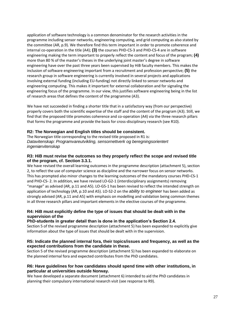application of software technology is a common denominator for the research activities in the programme including sensor networks, engineering computing, and grid computing as also stated by the committee (AR, p.9). We therefore find this term important in order to promote coherence and internal co-operation in the title (A4); **(3)** the courses PHD-CS-3 and PHD-CS-4 are in software engineering making the term important to properly reflect the content and focus of the program; **(4)**  more than 80 % of the master's theses in the underlying joint master's degree in software engineering have over the past three years been supervised by HiB faculty members. This makes the inclusion of software engineering important from a recruitment and profession perspective; **(5)** the research group in software engineering is currently involved in several projects and applications involving external funding (including EU-funding) not directly linked to sensor networks and engineering computing. This makes it important for external collaboration and for signaling the engineering focus of the programme. In our view, this justifies software engineering being in the list of research areas that defines the content of the programme (A3).

We have not succeeded in finding a shorter title that in a satisfactory way (from our perspective) properly covers both the scientific expertise of the staff and the content of the program (A3). Still, we find that the proposed title promotes coherence and co-operation (A4) via the three research pillars that forms the programme and provide the basis for cross-disciplinary research (see R10).

## **R2: The Norwegian and English titles should be consistent.**

The Norwegian title corresponding to the revised title proposed in R1 is: *Datavitenskap: Programvareutvikling, sensornettverk og beregningsorientert ingeniørvitenskap*

### **R3: HiB must revise the outcomes so they properly reflect the scope and revised title of the program, cf. Section 3.3.1.**

We have revised the overall learning outcomes in the programme description (attachment 5), section 2, to reflect the use of computer science as discipline and the narrower focus on sensor networks. This has prompted also minor changes to the learning outcomes of the mandatory courses PHD-CS-1 and PHD-CS- 2. In addition, we have revised LO-G2-1 (interdisciplinary assignments) removing "manage" as advised (AR, p.11 and A5). LO-G5-1 has been revised to reflect the intended strength on application of technology (AR, p.10 and A5). LO-S2-2 on the *ability to engineer* has been added as strongly advised (AR, p.11 and A5) with emphasis on modelling and validation being common themes in all three research pillars and important elements in the elective courses of the programme.

## **R4: HiB must explicitly define the type of issues that should be dealt with in the supervision of the**

## **PhD-students in greater detail than is done in the application's Section 2.4.**

Section 5 of the revised programme description (attachment 5) has been expanded to explicitly give information about the type of issues that should be dealt with in the supervision.

### **R5: Indicate the planned internal fora, their topics/issues and frequency, as well as the expected contributions from the candidate in these.**

Section 5 of the revised programme description (attachment 5) has been expanded to elaborate on the planned internal fora and expected contributes from the PhD candidates.

#### **R6: Have guidelines for how candidates should spend time with other institutions, in particular at universities outside Norway.**

We have developed a separate document (attachment 6) intended to aid the PhD candidates in planning their compulsory international research visit (see response to R9).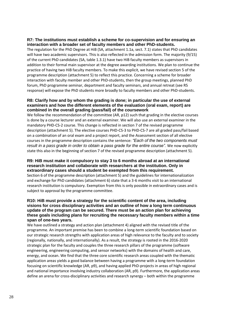#### **R7: The institutions must establish a scheme for co-supervision and for ensuring an interaction with a broader set of faculty members and other PhD-students.**

The regulation for the PhD Degree at HiB (SA, attachment 1.1a, sect. 7.1) states that PhD candidates will have two academic supervisors. This is also reflected in the admission form. The majority (9/15) of the current PhD candidates (SA, table 1.3.1) have two HiB faculty members as supervisors in addition to their formal main supervisor at the degree awarding institutions. We plan to continue the practice of having two HiB faculty members. To make this explicit, we have revised section 5 of the programme description (attachment 5) to reflect this practice. Concerning a scheme for broader interaction with faculty member and other PhD-students, then the group meetings, planned PhD forum, PhD programme seminar, department and faculty seminars, and annual retreat (see R5 response) will expose the PhD students more broadly to faculty members and other PhD-students.

### **R8: Clarify how and by whom the grading is done; in particular the use of external examiners and how the different elements of the evaluation (oral exam, report) are combined in the overall grading (pass/fail) of the coursework**

We follow the recommendation of the committee (AR, p12) such that grading in the elective courses is done by a course lecturer and an external examiner. We will also use an external examiner in the mandatory PHD-CS-2 course. This change is reflected in section 7 of the revised programme description (attachment 5). The elective courses PHD-CS-3 to PHD-CS-7 are all graded pass/fail based on a combination of an oral exam and a project report, and the Assessment section of all elective courses in the programme description contains the sentence: *"Each of the two components must result in a pass grade in order to obtain a pass grade for the entire course".* We now explicitly state this also in the beginning of section 7 of the revised programme description (attachment 5).

#### **R9: HiB must make it compulsory to stay 3 to 6 months abroad at an international research institution and collaborate with researchers at the institution. Only in extraordinary cases should a student be exempted from this requirement.**

Section 6 of the programme description (attachment 5) and the guidelines for internationalization and exchange for PhD candidates (attachment 6) state that a 3-6 months visit to an international research institution is compulsory. Exemption from this is only possible in extraordinary cases and is subject to approval by the programme committee.

### **R10: HiB must provide a strategy for the scientific content of the area, including visions for cross disciplinary activities and an outline of how a long term continuous update of the program can be secured. There must be an action plan for achieving these goals including plans for recruiting the necessary faculty members within a time span of one-two years.**

We have outlined a strategy and action plan (attachment 4) aligned with the revised title of the programme. An important premise has been to combine a long-term scientific foundation based on our strategic research strengths with application areas of high relevance to the faculty and to society (regionally, nationally, and internationally). As a result, the strategy is rooted in the 2016-2020 strategic plan for the faculty and couples the three research pillars of the programme (software engineering, engineering computing, and sensor networks) with the domains of health and care, energy, and ocean. We find that the three core scientific research areas coupled with the thematic application areas yields a good balance between having a programme with a long-term foundation focusing on scientific knowledge (AR, p9), and having applied PhD-projects in areas of high regional and national importance involving industry collaboration (AR, p9). Furthermore, the application areas define an arena for cross-disciplinary activities and research synergy – both within the programme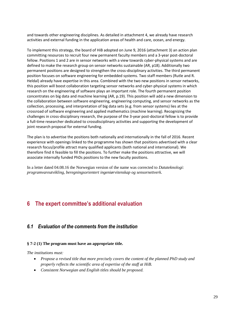and towards other engineering disciplines. As detailed in attachment 4, we already have research activities and external funding in the application areas of health and care, ocean, and energy.

To implement this strategy, the board of HiB adopted on June 9, 2016 (attachment 3) an action plan committing resources to recruit four new permanent faculty members and a 3-year post-doctoral fellow. Positions 1 and 2 are in sensor networks with a view towards cyber-physical systems and are defined to make the research group on sensor networks sustainable (AR, p18). Additionally two permanent positions are designed to strengthen the cross-disciplinary activities. The third permanent position focuses on software engineering for embedded systems. Two staff members (Rutle and R. Heldal) already have expertise in this area. Combined with the two new positions in sensor networks, this position will boost collaboration targeting sensor networks and cyber-physical systems in which research on the engineering of software plays an important role. The fourth permanent position concentrates on big data and machine learning (AR, p.19). This position will add a new dimension to the collaboration between software engineering, engineering computing, and sensor networks as the collection, processing, and interpretation of big data sets (e.g. from sensor systems) lies at the crossroad of software engineering and applied mathematics (machine learning). Recognizing the challenges in cross-disciplinary research, the purpose of the 3-year post-doctoral fellow is to provide a full-time researcher dedicated to crossdisciplinary activities and supporting the development of joint research proposal for external funding.

The plan is to advertise the positions both nationally and internationally in the fall of 2016. Recent experience with openings linked to the programme has shown that positions advertised with a clear research focus/profile attract many qualified applicants (both national and international). We therefore find it feasible to fill the positions. To further make the positions attractive, we will associate internally funded PhDs positions to the new faculty positions.

In a letter dated 04.08.16 the Norwegian version of the name was corrected to *Datateknologi: programvareutvikling, beregningsorientert ingeniørvitenskap og sensornettverk.*

## <span id="page-32-0"></span>**6 The expert committee's additional evaluation**

## <span id="page-32-1"></span>*6.1 Evaluation of the comments from the institution*

## **§ 7-2 (1) The program must have an appropriate title.**

*The institutions must:*

- *Propose a revised title that more precisely covers the content of the planned PhD study and properly reflects the scientific area of expertise of the staff at HiB.*
- *Consistent Norwegian and English titles should be proposed.*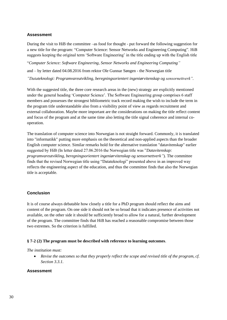## **Assessment**

During the visit to HiB the committee –as food for thought - put forward the following suggestion for a new title for the program: "Computer Science: Sensor Networks and Engineering Computing". HiB suggests keeping the original term 'Software Engineering' in the title ending up with the English title

"*Computer Science: Software Engineering, Sensor Networks and Engineering Computing"*

and – by letter dated 04.08.2016 from rektor Ole Gunnar Søngen - the Norwegian title

*"Datateknologi: Programvareutvikling, beregningsorientert ingeniørvitenskap og sensornettverk".*

With the suggested title, the three core research areas in the (new) strategy are explicitly mentioned under the general heading 'Computer Science'. The Software Engineering group comprises 6 staff members and possesses the strongest bibliometric track record making the wish to include the term in the program title understandable also from a visibility point of view as regards recruitment and external collaboration. Maybe more important are the considerations on making the title reflect content and focus of the program and at the same time also letting the title signal coherence and internal cooperation.

The translation of computer science into Norwegian is not straight forward. Commonly, it is translated into "informatikk" putting more emphasis on the theoretical and non-applied aspects than the broader English computer science. Similar remarks hold for the alternative translation "datavitenskap" earlier suggested by HiB (In letter dated 27.06.2016 the Norwegian title was "*Datavitenskap: programvareutvikling, beregningsorientert ingeniørvitenskap og sensornettverk"*). The committee finds that the revised Norwegian title using "Datateknologi" presented above in an improved way reflects the engineering aspect of the education, and thus the committee finds that also the Norwegian title is acceptable.

#### **Conclusion**

It is of course always debatable how closely a title for a PhD program should reflect the aims and content of the program. On one side it should not be so broad that it indicates presence of activities not available, on the other side it should be sufficiently broad to allow for a natural, further development of the program. The committee finds that HiB has reached a reasonable compromise between those two extremes. So the criterion is fulfilled.

#### **§ 7-2 (2) The program must be described with reference to learning outcomes**.

*The institution must:*

 *Revise the outcomes so that they properly reflect the scope and revised title of the program, cf. Section 3.3.1.*

#### **Assessment**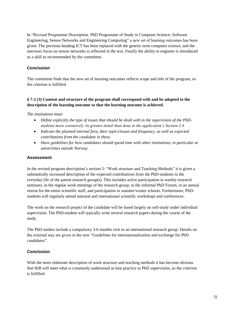In "Revised Programme Description. PhD Programme of Study in Computer Science: Software Engineering, Sensor Networks and Engineering Computing" a new set of learning outcomes has been given. The previous heading ICT has been replaced with the generic term computer science, and the narrower focus on sensor networks is reflected in the text. Finally the ability to engineer is introduced as a skill as recommended by the committee.

## **Conclusion**

The committee finds that the new set of learning outcomes reflects scope and title of the program, so the criterion is fulfilled

## **§ 7-2 (3) Content and structure of the program shall correspond with and be adapted to the description of the learning outcome so that the learning outcome is achieved.**

*The institutions must:*

- *Define explicitly the type of issues that should be dealt with in the supervision of the PhDstudents more extensively /in greater detail than done in the application's Section 2.4.*
- *Indicate the planned internal fora, their topics/issues and frequency, as well as expected contributions from the candidate in these.*
- *Have guidelines for how candidates should spend time with other institutions, in particular at universities outside Norway.*

## **Assessment**

In the revised program description's section 5: "Work structure and Teaching Methods" it is given a substantially increased description of the expected contributions from the PhD-students to the everyday life of the parent research group(s). This includes active participation in weekly research seminars, in the regular work meetings of the research group, in the informal PhD Forum, in an annual retreat for the entire scientific staff, and participation in summer/winter schools. Furthermore, PhDstudents will regularly attend national and international scientific workshops and conferences.

The work on the research project of the candidate will be based largely on self-study under individual supervision. The PhD-student will typically write several research papers during the course of the study

The PhD studies include a compulsory 3-6 months visit to an international research group. Details on the external stay are given in the new "Guidelines for internationalization and exchange for PhD candidates".

## **Conclusion**

With the more elaborate description of work structure and teaching methods it has become obvious that HiB will meet what is commonly understood as best practice in PhD supervision, so the criterion is fulfilled.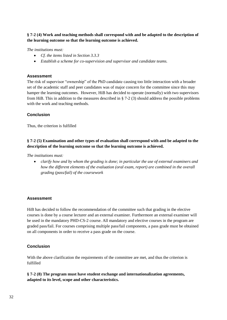**§ 7-2 (4) Work and teaching methods shall correspond with and be adapted to the description of the learning outcome so that the learning outcome is achieved.**

*The institutions must:*

- *Cf. the items listed in Section 3.3.3*
- *Establish a scheme for co-supervision and supervisor and candidate teams.*

#### **Assessment**

The risk of supervisor "ownership" of the PhD candidate causing too little interaction with a broader set of the academic staff and peer candidates was of major concern for the committee since this may hamper the learning outcomes. However, HiB has decided to operate (normally) with two supervisors from HiB. This in addition to the measures described in § 7-2 (3) should address the possible problems with the work and teaching methods.

#### **Conclusion**

Thus, the criterion is fulfilled

## **§ 7-2 (5) Examination and other types of evaluation shall correspond with and be adapted to the description of the learning outcome so that the learning outcome is achieved.**

*The institutions must:*

 *clarify how and by whom the grading is done; in particular the use of external examiners and how the different elements of the evaluation (oral exam, report) are combined in the overall grading (pass/fail) of the coursework* 

#### **Assessment**

HiB has decided to follow the recommendation of the committee such that grading in the elective courses is done by a course lecturer and an external examiner. Furthermore an external examiner will be used in the mandatory PHD-CS-2 course. All mandatory and elective courses in the program are graded pass/fail. For courses comprising multiple pass/fail components, a pass grade must be obtained on all components in order to receive a pass grade on the course.

## **Conclusion**

With the above clarification the requirements of the committee are met, and thus the criterion is fulfilled

#### **§ 7-2 (8) The program must have student exchange and internationalization agreements, adapted to its level, scope and other characteristics.**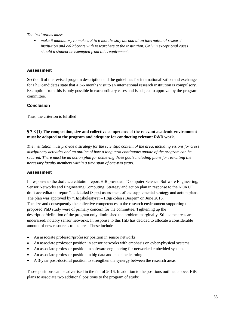*The institutions must:*

 *make it mandatory to make a 3 to 6 months stay abroad at an international research institution and collaborate with researchers at the institution. Only in exceptional cases should a student be exempted from this requirement.*

## **Assessment**

Section 6 of the revised program description and the guidelines for internationalization and exchange for PhD candidates state that a 3-6 months visit to an international research institution is compulsory. Exemption from this is only possible in extraordinary cases and is subject to approval by the program committee.

## **Conclusion**

Thus, the criterion is fulfilled

## **§ 7-3 (1) The composition, size and collective competence of the relevant academic environment must be adapted to the program and adequate for conducting relevant R&D work.**

*The institution must provide a strategy for the scientific content of the area, including visions for cross disciplinary activities and an outline of how a long term continuous update of the program can be secured. There must be an action plan for achieving these goals including plans for recruiting the necessary faculty members within a time span of one-two years.*

## **Assessment**

In response to the draft accreditation report HiB provided: "Computer Science: Software Engineering, Sensor Networks and Engineering Computing. Strategy and action plan in response to the NOKUT draft accreditation report", a detailed (8 pp.) assessment of the supplemental strategy and action plans. The plan was approved by "Høgskolestyret – Høgskolen i Bergen" on June 2016. The size and consequently the collective competences in the research environment supporting the proposed PhD study were of primary concern for the committee. Tightening up the description/definition of the program only diminished the problem marginally. Still some areas are undersized, notably sensor networks. In response to this HiB has decided to allocate a considerable amount of new resources to the area. These include

- An associate professor/professor position in sensor networks
- An associate professor position in sensor networks with emphasis on cyber-physical systems
- An associate professor position in software engineering for networked embedded systems
- An associate professor position in big data and machine learning
- A 3-year post-doctoral position to strengthen the synergy between the research areas

Those positions can be advertised in the fall of 2016. In addition to the positions outlined above, HiB plans to associate two additional positions to the program of study: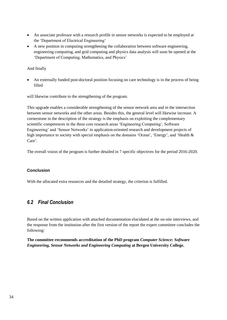- An associate professor with a research profile in sensor networks is expected to be employed at the 'Department of Electrical Engineering'
- A new position in computing strengthening the collaboration between software engineering, engineering computing, and grid computing and physics data analysis will soon be opened at the 'Department of Computing, Mathematics, and Physics'

And finally

 An externally funded post-doctoral position focusing on care technology is in the process of being filled

will likewise contribute to the strengthening of the program.

This upgrade enables a considerable strengthening of the sensor network area and in the intersection between sensor networks and the other areas. Besides this, the general level will likewise increase. A cornerstone in the description of the strategy is the emphasis on exploiting the complementary scientific competences in the three core research areas 'Engineering Computing', Software Engineering' and 'Sensor Networks' in application-oriented research and development projects of high importance to society with special emphasis on the domains 'Ocean', 'Energy', and 'Health & Care'.

The overall vision of the program is further detailed in 7 specific objectives for the period 2016-2020.

## **Conclusion**

With the allocated extra resources and the detailed strategy, the criterion is fulfilled.

## <span id="page-37-0"></span>*6.2 Final Conclusion*

Based on the written application with attached documentation elucidated at the on-site interviews, and the response from the institution after the first version of the report the expert committee concludes the following:

**The committee recommends accreditation of the PhD program** *Computer Science: Software Engineering, Sensor Networks and Engineering Computing* **at Bergen University College.**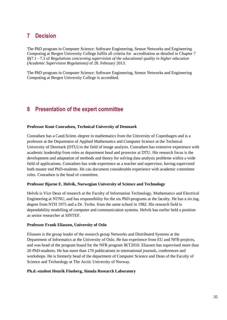## <span id="page-38-0"></span>**7 Decision**

The PhD program in Computer Science: Software Engineering, Sensor Networks and Engineering Computing at Bergen University College fulfils all criteria for accreditation as detailed in Chapter 7 §§7.1 - 7.3 of *Regulations concerning supervision of the educational quality in higher education (Academic Supervision Regulations)* of 28. February 2013.

The PhD program in Computer Science: Software Engineering, Sensor Networks and Engineering Computing at Bergen University College is accredited.

## <span id="page-38-1"></span>**8 Presentation of the expert committee**

#### **Professor Knut Conradsen, Technical University of Denmark**

Conradsen has a Cand.Scient.-degree in mathematics from the University of Copenhagen and is a professor at the Department of Applied Mathematics and Computer Science at the Technical University of Denmark (DTU) in the field of image analysis. Conradsen has extensive experience with academic leadership from roles as department head and prorector at DTU. His research focus is the development and adaptation of methods and theory for solving data analysis problems within a wide field of applications. Conradsen has wide experience as a teacher and supervisor, having supervised both master end PhD-students. He can document considerable experience with academic committee roles. Conradsen is the head of committee.

#### **Professor Bjarne E. Helvik, Norwegian University of Science and Technology**

Helvik is Vice Dean of research at the Faculty of Information Technology, Mathematics and Electrical Engineering at NTNU, and has responsibility for the six PhD-programs at the faculty. He has a siv.ing. degree from NTH 1975 and a Dr. Techn. from the same school in 1982. His research field is dependability modelling of computer and communication systems. Helvik has earlier held a position as senior researcher at SINTEF.

#### **Professor Frank Eliassen, University of Oslo**

Eliassen is the group leader of the research group Networks and Distributed Systems at the Department of Informatics at the University of Oslo. He has experience from EU and NFR-projects, and was head of the program board for the NFR program IKT2010. Eliassen has supervised more than 20 PhD-students. He has more than 170 publications in international journals, conferences and workshops. He is formerly head of the department of Computer Science and Dean of the Faculty of Science and Technology at The Arctic University of Norway.

#### **Ph.d.-student Henrik Finsberg, Simula Research Laboratory**